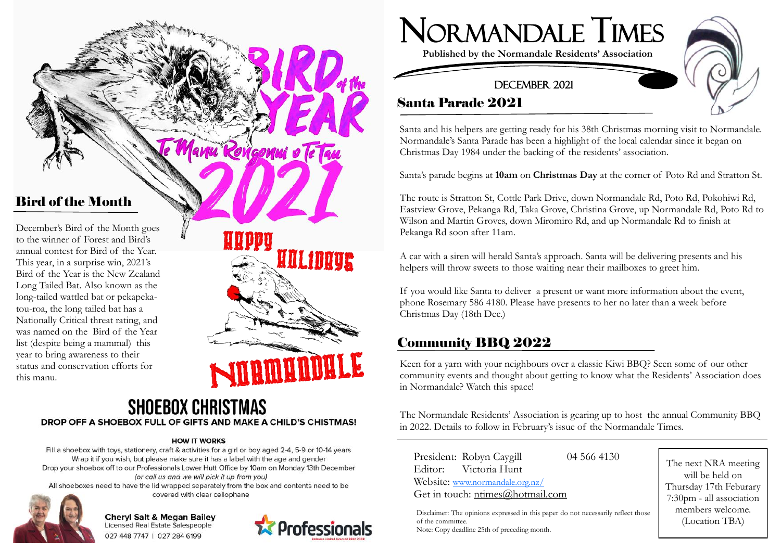anu Rongonui o Te Tau

## Bird of the Month

December's Bird of the Month goes to the winner of Forest and Bird's annual contest for Bird of the Year. This year, in a surprise win, 2021's Bird of the Year is the New Zealand Long Tailed Bat. Also known as the long -tailed wattled bat or pekapeka tou -roa, the long tailed bat has a Nationally Critical threat rating, and was named on the Bird of the Year list (despite being a mammal) this year to bring awareness to their status and conservation efforts for this manu.

WLfDAUR

### **SHOEBOX CHRISTMAS** DROP OFF A SHOEBOX FULL OF GIFTS AND MAKE A CHILD'S CHISTMAS!

#### **HOW IT WORKS**

Fill a shoebox with toys, stationery, craft & activities for a girl or boy aged 2-4, 5-9 or 10-14 years Wrap it if you wish, but please make sure it has a label with the age and gender Drop your shoebox off to our Professionals Lower Hutt Office by 10am on Monday 13th December (or call us and we will pick it up from you)

All shoeboxes need to have the lid wrapped separately from the box and contents need to be covered with clear cellophane



**Cheryl Salt & Megan Bailey** Licensed Real Estate Salespeople 027 448 7747 | 027 284 6199





**Published by the Normandale Residents' Association**

#### DECEMBER 2021

## Santa Parade 2021

Santa and his helpers are getting ready for his 38th Christmas morning visit to Normandale. Normandale's Santa Parade has been a highlight of the local calendar since it began on Christmas Day 1984 under the backing of the residents' association.

Santa's parade begins at **10am** on **Christmas Day** at the corner of Poto Rd and Stratton St.

The route is Stratton St, Cottle Park Drive, down Normandale Rd, Poto Rd, Pokohiwi Rd, Eastview Grove, Pekanga Rd, Taka Grove, Christina Grove, up Normandale Rd, Poto Rd to Wilson and Martin Groves, down Miromiro Rd, and up Normandale Rd to finish at Pekanga Rd soon after 11am.

A car with a siren will herald Santa's approach. Santa will be delivering presents and his helpers will throw sweets to those waiting near their mailboxes to greet him.

If you would like Santa to deliver a present or want more information about the event, phone Rosemary 586 4180. Please have presents to her no later than a week before Christmas Day (18th Dec.)

## Community BBQ 2022

Keen for a yarn with your neighbours over a classic Kiwi BBQ? Seen some of our other community events and thought about getting to know what the Residents' Association does in Normandale? Watch this space!

The Normandale Residents' Association is gearing up to host the annual Community BBQ in 2022. Details to follow in February's issue of the Normandale Times.

President: Robyn Caygill 04 566 4130 Editor: Victoria Hunt Website: [www.normandale.org.nz/](http://www.normandale.org.nz/) Get in touch: ntimes@hotmail.com

Disclaimer: The opinions expressed in this paper do not necessarily reflect those of the committee. Note: Copy deadline 25th of preceding month.

The next NRA meeting will be held on Thursday 17th Feburary 7:30pm - all association members welcome. (Location TBA)